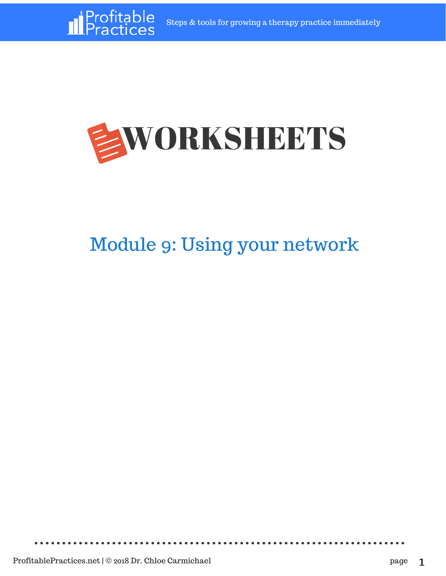

## Module 9: Using your network

*<u>Il</u>Profitable*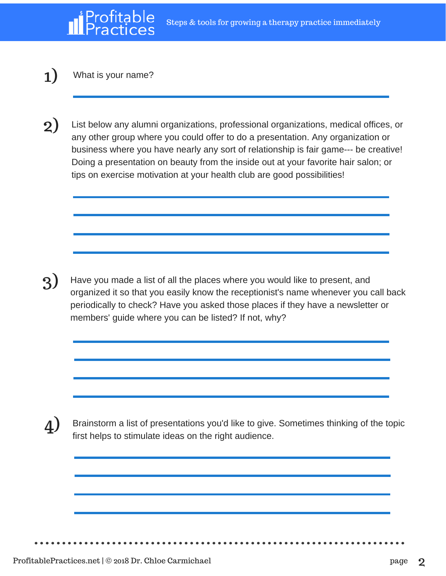## 1) What is your name?

2) List below any alumni organizations, professional organizations, medical offices, or any other group where you could offer to do a presentation. Any organization or business where you have nearly any sort of relationship is fair game--- be creative! Doing a presentation on beauty from the inside out at your favorite hair salon; or tips on exercise motivation at your health club are good possibilities!

3) Have you made a list of all the places where you would like to present, and organized it so that you easily know the receptionist's name whenever you call back periodically to check? Have you asked those places if they have a newsletter or members' guide where you can be listed? If not, why?

4) Brainstorm a list of presentations you'd like to give. Sometimes thinking of the topic first helps to stimulate ideas on the right audience.